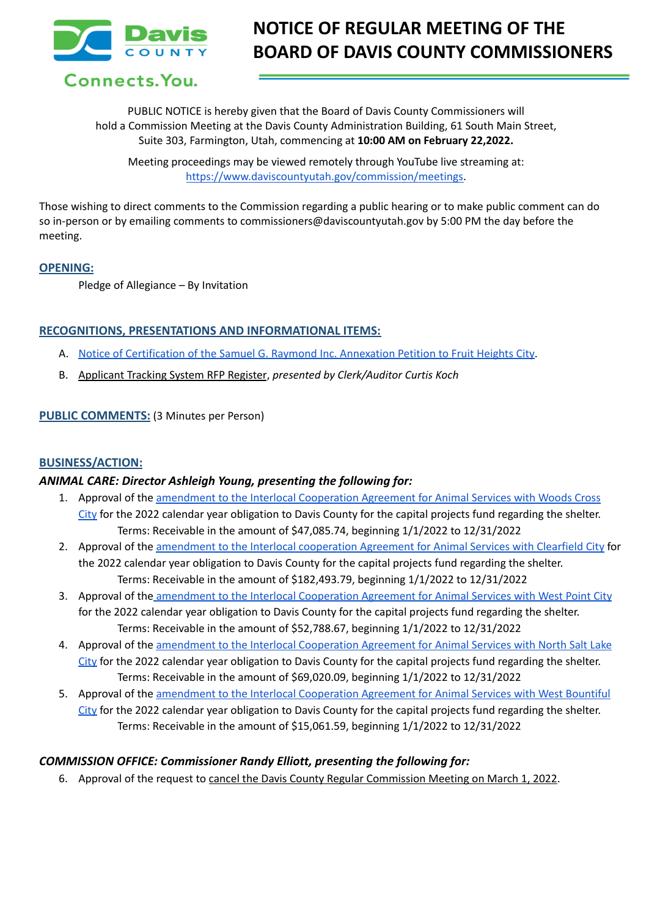

# Connects. You.

PUBLIC NOTICE is hereby given that the Board of Davis County Commissioners will hold a Commission Meeting at the Davis County Administration Building, 61 South Main Street, Suite 303, Farmington, Utah, commencing at **10:00 AM on February 22,2022.**

Meeting proceedings may be viewed remotely through YouTube live streaming at: [https://www.daviscountyutah.gov/commission/meetings.](https://www.daviscountyutah.gov/commission/meetings)

Those wishing to direct comments to the Commission regarding a public hearing or to make public comment can do so in-person or by emailing comments to commissioners@daviscountyutah.gov by 5:00 PM the day before the meeting.

#### **OPENING:**

Pledge of Allegiance – By Invitation

#### **RECOGNITIONS, PRESENTATIONS AND INFORMATIONAL ITEMS:**

- A. Notice of [Certification](https://drive.google.com/file/d/1dGLC_GFf4CtOh5xdSFx6aLVBOsitLKC5/view?usp=sharing) of the Samuel G. Raymond Inc. Annexation Petition to Fruit Heights City.
- B. Applicant Tracking System RFP Register, *presented by Clerk/Auditor Curtis Koch*

#### **PUBLIC COMMENTS:** (3 Minutes per Person)

#### **BUSINESS/ACTION:**

#### *ANIMAL CARE: Director Ashleigh Young, presenting the following for:*

- 1. Approval of the amendment to the Interlocal [Cooperation](https://drive.google.com/file/d/1oYrkUeP4E9ovkCnAJstgxzVNG4lDWQp_/view?usp=sharing) Agreement for Animal Services with Woods Cross [City](https://drive.google.com/file/d/1oYrkUeP4E9ovkCnAJstgxzVNG4lDWQp_/view?usp=sharing) for the 2022 calendar year obligation to Davis County for the capital projects fund regarding the shelter. Terms: Receivable in the amount of \$47,085.74, beginning 1/1/2022 to 12/31/2022
- 2. Approval of the [amendment](https://drive.google.com/file/d/1fOIdRNkx_O0WsEEzo9cv6iUjEFcjQnvk/view?usp=sharing) to the Interlocal cooperation Agreement for Animal Services with Clearfield City for the 2022 calendar year obligation to Davis County for the capital projects fund regarding the shelter. Terms: Receivable in the amount of \$182,493.79, beginning 1/1/2022 to 12/31/2022
- 3. Approval of the amendment to the Interlocal [Cooperation](https://drive.google.com/file/d/1ssMICPkYrK0oSqs2zj4F7pJKBQ6KLZhw/view?usp=sharing) Agreement for Animal Services with West Point City for the 2022 calendar year obligation to Davis County for the capital projects fund regarding the shelter. Terms: Receivable in the amount of \$52,788.67, beginning 1/1/2022 to 12/31/2022
- 4. Approval of the amendment to the Interlocal [Cooperation](https://drive.google.com/file/d/1loZoiPDSnd1L4RmGAX0LMaFG7BPdNQ52/view?usp=sharing) Agreement for Animal Services with North Salt Lake [City](https://drive.google.com/file/d/1loZoiPDSnd1L4RmGAX0LMaFG7BPdNQ52/view?usp=sharing) for the 2022 calendar year obligation to Davis County for the capital projects fund regarding the shelter. Terms: Receivable in the amount of \$69,020.09, beginning 1/1/2022 to 12/31/2022
- 5. Approval of the amendment to the Interlocal [Cooperation](https://drive.google.com/file/d/1zvQUPN09ec0CPpw8oyNEuIhhiqC0B3o9/view?usp=sharing) Agreement for Animal Services with West Bountiful [City](https://drive.google.com/file/d/1zvQUPN09ec0CPpw8oyNEuIhhiqC0B3o9/view?usp=sharing) for the 2022 calendar year obligation to Davis County for the capital projects fund regarding the shelter. Terms: Receivable in the amount of \$15,061.59, beginning 1/1/2022 to 12/31/2022

#### *COMMISSION OFFICE: Commissioner Randy Elliott, presenting the following for:*

6. Approval of the request to cancel the Davis County Regular Commission Meeting on March 1, 2022.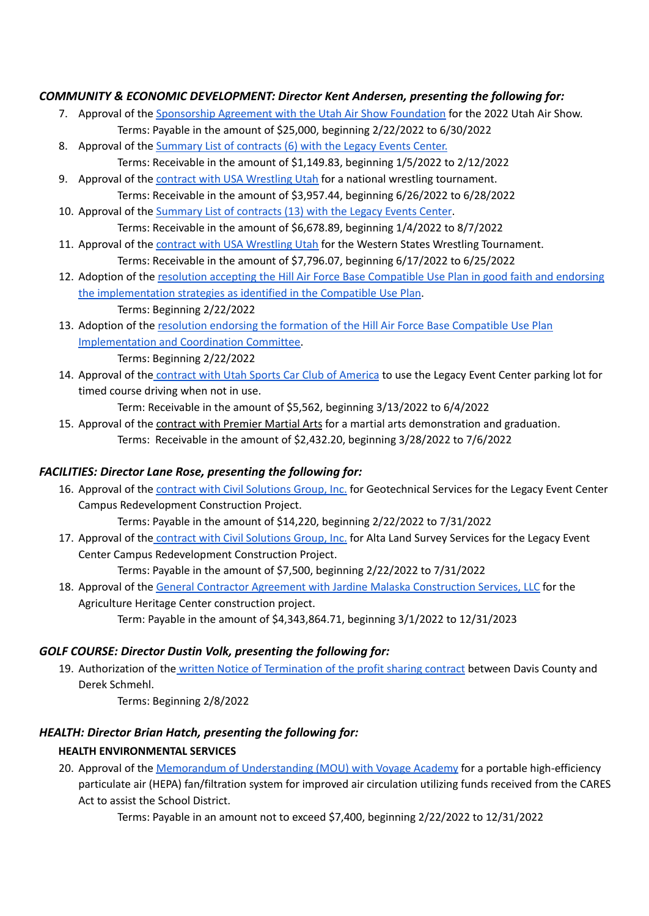## *COMMUNITY & ECONOMIC DEVELOPMENT: Director Kent Andersen, presenting the following for:*

- 7. Approval of the [Sponsorship](https://drive.google.com/file/d/19FyzOPndSVEJeRdakD_2Tc2Mv3nIvQCS/view?usp=sharing) Agreement with the Utah Air Show Foundation for the 2022 Utah Air Show. Terms: Payable in the amount of \$25,000, beginning 2/22/2022 to 6/30/2022
- 8. Approval of the [Summary](https://drive.google.com/file/d/162VZP6UYMyg7Dwk48pw20w5D-yDlWaeD/view?usp=sharing) List of contracts (6) with the Legacy Events Center. Terms: Receivable in the amount of \$1,149.83, beginning 1/5/2022 to 2/12/2022
- 9. Approval of the contract with USA [Wrestling](https://drive.google.com/file/d/1mTFrpnSS8t87vfyVj2B3kJ029GsrmcwZ/view?usp=sharing) Utah for a national wrestling tournament. Terms: Receivable in the amount of \$3,957.44, beginning 6/26/2022 to 6/28/2022
- 10. Approval of the [Summary](https://drive.google.com/file/d/1RKUP2wHk8GeMKgbUx8_N_7-deX1cnt9C/view?usp=sharing) List of contracts (13) with the Legacy Events Center. Terms: Receivable in the amount of \$6,678.89, beginning 1/4/2022 to 8/7/2022
- 11. Approval of the contract with USA [Wrestling](https://drive.google.com/file/d/1tZs0ci3WrVu_R0YWzj4-0HHpUeB7tQ84/view?usp=sharing) Utah for the Western States Wrestling Tournament. Terms: Receivable in the amount of \$7,796.07, beginning 6/17/2022 to 6/25/2022
- 12. Adoption of the resolution accepting the Hill Air Force Base [Compatible](https://docs.google.com/document/d/196paU630javt7xwQEeZKnOwHTh5ABmHm/edit?usp=sharing&ouid=106668054259493981190&rtpof=true&sd=true) Use Plan in good faith and endorsing the [implementation](https://docs.google.com/document/d/196paU630javt7xwQEeZKnOwHTh5ABmHm/edit?usp=sharing&ouid=106668054259493981190&rtpof=true&sd=true) strategies as identified in the Compatible Use Plan. Terms: Beginning 2/22/2022
- 13. Adoption of the resolution endorsing the formation of the Hill Air Force Base [Compatible](https://docs.google.com/document/d/1RFXTC6ZQC9fVE5keVMM_oWFb3bx2oYU0/edit?usp=sharing&ouid=106668054259493981190&rtpof=true&sd=true) Use Plan [Implementation](https://docs.google.com/document/d/1RFXTC6ZQC9fVE5keVMM_oWFb3bx2oYU0/edit?usp=sharing&ouid=106668054259493981190&rtpof=true&sd=true) and Coordination Committee.

Terms: Beginning 2/22/2022

14. Approval of the [contract](https://drive.google.com/file/d/1NLpjWe4B2LkiyD5hff31ODPaczLMLWpP/view?usp=sharing) with Utah Sports Car Club of America to use the Legacy Event Center parking lot for timed course driving when not in use.

Term: Receivable in the amount of \$5,562, beginning 3/13/2022 to 6/4/2022

15. Approval of the contract with Premier Martial Arts for a martial arts demonstration and graduation. Terms: Receivable in the amount of \$2,432.20, beginning 3/28/2022 to 7/6/2022

# *FACILITIES: Director Lane Rose, presenting the following for:*

16. Approval of the **contract with Civil [Solutions](https://drive.google.com/file/d/1Gq2otMQFzCfaW2UOl2OFJUgmzoi84vS1/view?usp=sharing) Group, Inc.** for Geotechnical Services for the Legacy Event Center Campus Redevelopment Construction Project.

Terms: Payable in the amount of \$14,220, beginning 2/22/2022 to 7/31/2022

17. Approval of the contract with Civil [Solutions](https://drive.google.com/file/d/1Y6MU6BvWnc25GHWN8ZHKjKIazEo23AiI/view?usp=sharing) Group, Inc. for Alta Land Survey Services for the Legacy Event Center Campus Redevelopment Construction Project.

Terms: Payable in the amount of \$7,500, beginning 2/22/2022 to 7/31/2022

18. Approval of the General Contractor Agreement with Jardine Malaska [Construction](https://drive.google.com/file/d/1rcf18BC69FDIKYS4VZZPa1F3DrJ655XJ/view?usp=sharing) Services, LLC for the Agriculture Heritage Center construction project. Term: Payable in the amount of \$4,343,864.71, beginning 3/1/2022 to 12/31/2023

#### *GOLF COURSE: Director Dustin Volk, presenting the following for:*

19. Authorization of the written Notice of [Termination](https://drive.google.com/file/d/1Sqo6Dh02hodL3ai1eSGp4aCwrv1aur0x/view?usp=sharing) of the profit sharing contract between Davis County and Derek Schmehl.

Terms: Beginning 2/8/2022

# *HEALTH: Director Brian Hatch, presenting the following for:*

# **HEALTH ENVIRONMENTAL SERVICES**

20. Approval of the Memorandum of [Understanding](https://drive.google.com/file/d/18gIagsTttdtbfTCGzfvOFxUl32HIwqXT/view?usp=sharing) (MOU) with Voyage Academy for a portable high-efficiency particulate air (HEPA) fan/filtration system for improved air circulation utilizing funds received from the CARES Act to assist the School District.

Terms: Payable in an amount not to exceed \$7,400, beginning 2/22/2022 to 12/31/2022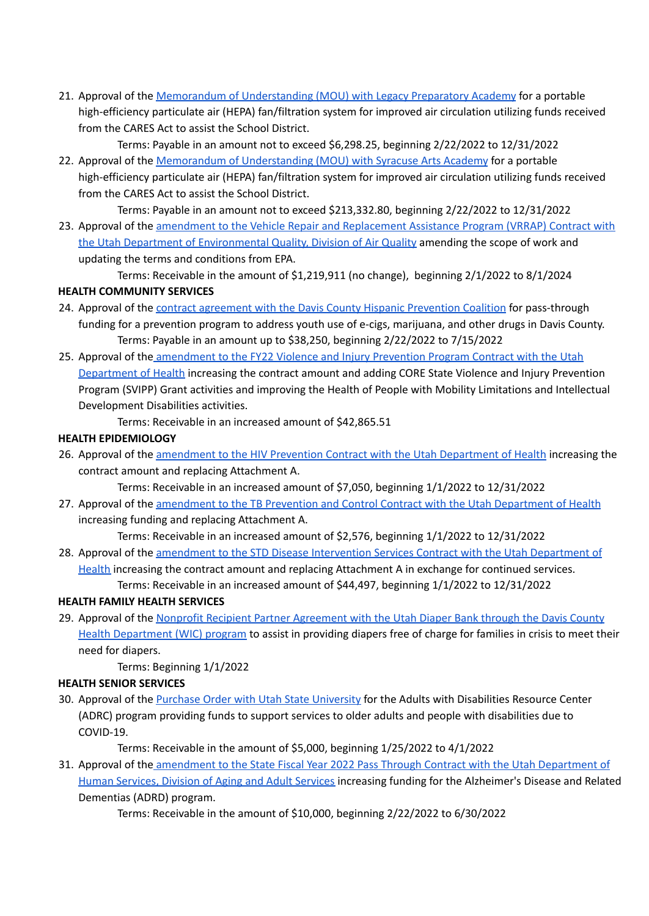21. Approval of the Memorandum of [Understanding](https://drive.google.com/file/d/1E5aU8KeWiYyx7KvZ9tbVU2ASxHv46-Wj/view?usp=sharing) (MOU) with Legacy Preparatory Academy for a portable high-efficiency particulate air (HEPA) fan/filtration system for improved air circulation utilizing funds received from the CARES Act to assist the School District.

Terms: Payable in an amount not to exceed \$6,298.25, beginning 2/22/2022 to 12/31/2022

22. Approval of the Memorandum of [Understanding](https://drive.google.com/file/d/1ylSwixiqQkwFsZngkQoJFmLPf_a_wrjo/view?usp=sharing) (MOU) with Syracuse Arts Academy for a portable high-efficiency particulate air (HEPA) fan/filtration system for improved air circulation utilizing funds received from the CARES Act to assist the School District.

Terms: Payable in an amount not to exceed \$213,332.80, beginning 2/22/2022 to 12/31/2022

23. Approval of the amendment to the Vehicle Repair and [Replacement](https://drive.google.com/file/d/1uG_NQef1sMfBKydCMOvnGFibFjcoJ5uX/view?usp=sharing) Assistance Program (VRRAP) Contract with the Utah Department of [Environmental](https://drive.google.com/file/d/1uG_NQef1sMfBKydCMOvnGFibFjcoJ5uX/view?usp=sharing) Quality, Division of Air Quality amending the scope of work and updating the terms and conditions from EPA.

Terms: Receivable in the amount of \$1,219,911 (no change), beginning 2/1/2022 to 8/1/2024 **HEALTH COMMUNITY SERVICES**

- 24. Approval of the contract [agreement](https://drive.google.com/file/d/154hIq8uinOr4z4jkr8xbQI3qNHYlrSjG/view?usp=sharing) with the Davis County Hispanic Prevention Coalition for pass-through funding for a prevention program to address youth use of e-cigs, marijuana, and other drugs in Davis County. Terms: Payable in an amount up to \$38,250, beginning 2/22/2022 to 7/15/2022
- 25. Approval of the [amendment](https://drive.google.com/file/d/1B9kG0lMTrQz_UDBkDVAlg9u8-TjWVm69/view?usp=sharing) to the FY22 Violence and Injury Prevention Program Contract with the Utah [Department](https://drive.google.com/file/d/1B9kG0lMTrQz_UDBkDVAlg9u8-TjWVm69/view?usp=sharing) of Health increasing the contract amount and adding CORE State Violence and Injury Prevention Program (SVIPP) Grant activities and improving the Health of People with Mobility Limitations and Intellectual Development Disabilities activities.

Terms: Receivable in an increased amount of \$42,865.51

#### **HEALTH EPIDEMIOLOGY**

26. Approval of the **[amendment](https://drive.google.com/file/d/1tBpZohcEu88AAu3XBumER0P-K54KMAhe/view?usp=sharing) to the HIV Prevention Contract with the Utah Department of Health** increasing the contract amount and replacing Attachment A.

Terms: Receivable in an increased amount of \$7,050, beginning 1/1/2022 to 12/31/2022

27. Approval of the [amendment](https://drive.google.com/file/d/1sTo9tjfzNcwQIzXPyJlTNYOs3a4Qcx4P/view?usp=sharing) to the TB Prevention and Control Contract with the Utah Department of Health increasing funding and replacing Attachment A.

Terms: Receivable in an increased amount of \$2,576, beginning 1/1/2022 to 12/31/2022

28. Approval of the amendment to the STD Disease [Intervention](https://drive.google.com/file/d/1BYsg7_rLQmV9Rdx1j1zK0FREM0krV1Lw/view?usp=sharing) Services Contract with the Utah Department of [Health](https://drive.google.com/file/d/1BYsg7_rLQmV9Rdx1j1zK0FREM0krV1Lw/view?usp=sharing) increasing the contract amount and replacing Attachment A in exchange for continued services. Terms: Receivable in an increased amount of \$44,497, beginning 1/1/2022 to 12/31/2022

#### **HEALTH FAMILY HEALTH SERVICES**

29. Approval of the Nonprofit Recipient Partner [Agreement](https://drive.google.com/file/d/1kqfEDi5_Z8RklCKolHFQfyBbe6gJQGQc/view?usp=sharing) with the Utah Diaper Bank through the Davis County Health [Department](https://drive.google.com/file/d/1kqfEDi5_Z8RklCKolHFQfyBbe6gJQGQc/view?usp=sharing) (WIC) program to assist in providing diapers free of charge for families in crisis to meet their need for diapers.

Terms: Beginning 1/1/2022

#### **HEALTH SENIOR SERVICES**

30. Approval of the Purchase Order with Utah State [University](https://drive.google.com/file/d/1DyZOBI1c2f3uWBp6Xedk5sP6qRUfRJi-/view?usp=sharing) for the Adults with Disabilities Resource Center (ADRC) program providing funds to support services to older adults and people with disabilities due to COVID-19.

Terms: Receivable in the amount of \$5,000, beginning 1/25/2022 to 4/1/2022

31. Approval of the [amendment](https://drive.google.com/file/d/16eBvv0r4eQRTw-R1gEq8_F_XqwV6zNZY/view?usp=sharing) to the State Fiscal Year 2022 Pass Through Contract with the Utah Department of Human [Services,](https://drive.google.com/file/d/16eBvv0r4eQRTw-R1gEq8_F_XqwV6zNZY/view?usp=sharing) Division of Aging and Adult Services increasing funding for the Alzheimer's Disease and Related Dementias (ADRD) program.

Terms: Receivable in the amount of \$10,000, beginning 2/22/2022 to 6/30/2022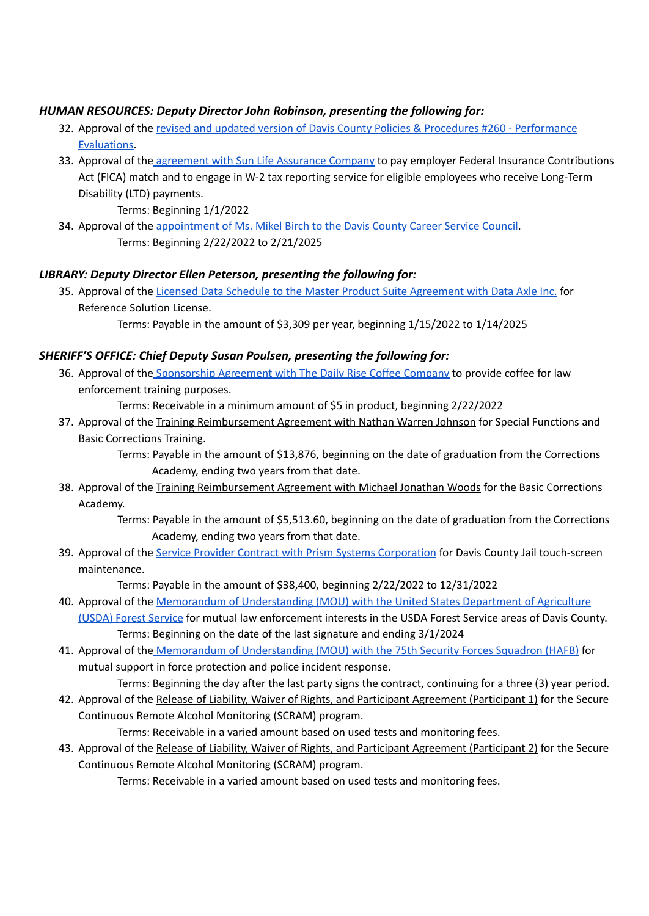## *HUMAN RESOURCES: Deputy Director John Robinson, presenting the following for:*

- 32. Approval of the revised and updated version of Davis County Policies & Procedures #260 [Performance](https://drive.google.com/file/d/1tNmNGIhGlqpfsq9DBmIkqP6WJ4iQnmfm/view?usp=sharing) [Evaluations.](https://drive.google.com/file/d/1tNmNGIhGlqpfsq9DBmIkqP6WJ4iQnmfm/view?usp=sharing)
- 33. Approval of the [agreement](https://drive.google.com/file/d/1g0aNfAi8Uzk-SDJAdYdBJwsAujE2_TPu/view?usp=sharing) with Sun Life Assurance Company to pay employer Federal Insurance Contributions Act (FICA) match and to engage in W-2 tax reporting service for eligible employees who receive Long-Term Disability (LTD) payments.

Terms: Beginning 1/1/2022

34. Approval of the [appointment](https://drive.google.com/file/d/1wljY_dJfz8tkVYVSwDDTlvxz7aUJJFhC/view?usp=sharing) of Ms. Mikel Birch to the Davis County Career Service Council. Terms: Beginning 2/22/2022 to 2/21/2025

## *LIBRARY: Deputy Director Ellen Peterson, presenting the following for:*

35. Approval of the Licensed Data Schedule to the Master Product Suite [Agreement](https://drive.google.com/file/d/1KQhErlWgkNC3cnlCL0L16BAACZBbMXdp/view?usp=sharing) with Data Axle Inc. for Reference Solution License.

Terms: Payable in the amount of \$3,309 per year, beginning 1/15/2022 to 1/14/2025

#### *SHERIFF'S OFFICE: Chief Deputy Susan Poulsen, presenting the following for:*

36. Approval of the [Sponsorship](https://drive.google.com/file/d/17Ld1cC88IJaBPLf-DYi5X3SuM9BAMHwR/view?usp=sharing) Agreement with The Daily Rise Coffee Company to provide coffee for law enforcement training purposes.

Terms: Receivable in a minimum amount of \$5 in product, beginning 2/22/2022

37. Approval of the Training Reimbursement Agreement with Nathan Warren Johnson for Special Functions and Basic Corrections Training.

> Terms: Payable in the amount of \$13,876, beginning on the date of graduation from the Corrections Academy, ending two years from that date.

38. Approval of the Training Reimbursement Agreement with Michael Jonathan Woods for the Basic Corrections Academy.

> Terms: Payable in the amount of \$5,513.60, beginning on the date of graduation from the Corrections Academy, ending two years from that date.

39. Approval of the Service Provider Contract with Prism Systems [Corporation](https://drive.google.com/file/d/1YMIk0X-QqjL_Y9k877V7lR2O-VtdeNFz/view?usp=sharing) for Davis County Jail touch-screen maintenance.

Terms: Payable in the amount of \$38,400, beginning 2/22/2022 to 12/31/2022

- 40. Approval of the Memorandum of [Understanding](https://drive.google.com/file/d/1QQen_s_itUsflE0Aj4zS9pSTuuTo0apI/view?usp=sharing) (MOU) with the United States Department of Agriculture [\(USDA\)](https://drive.google.com/file/d/1QQen_s_itUsflE0Aj4zS9pSTuuTo0apI/view?usp=sharing) Forest Service for mutual law enforcement interests in the USDA Forest Service areas of Davis County. Terms: Beginning on the date of the last signature and ending 3/1/2024
- 41. Approval of the Memorandum of [Understanding](https://drive.google.com/file/d/1BAuA0WjA2i4UvzxLFL1Wju3ayh4Dr-nz/view?usp=sharing) (MOU) with the 75th Security Forces Squadron (HAFB) for mutual support in force protection and police incident response.
- Terms: Beginning the day after the last party signs the contract, continuing for a three (3) year period. 42. Approval of the Release of Liability, Waiver of Rights, and Participant Agreement (Participant 1) for the Secure

Continuous Remote Alcohol Monitoring (SCRAM) program.

Terms: Receivable in a varied amount based on used tests and monitoring fees.

43. Approval of the Release of Liability, Waiver of Rights, and Participant Agreement (Participant 2) for the Secure Continuous Remote Alcohol Monitoring (SCRAM) program.

Terms: Receivable in a varied amount based on used tests and monitoring fees.